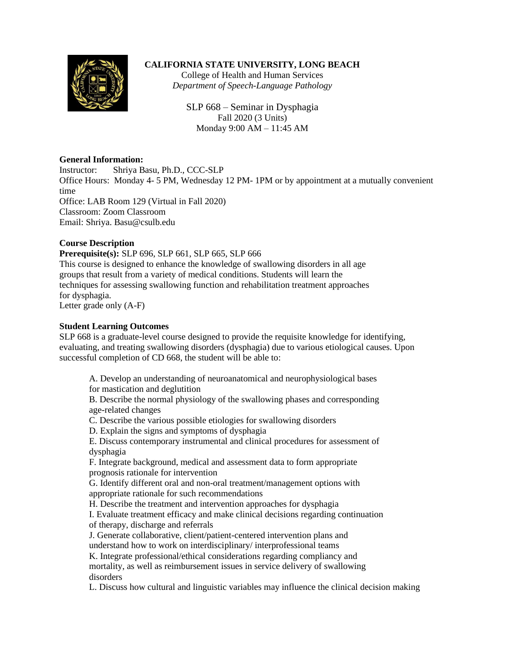

# **CALIFORNIA STATE UNIVERSITY, LONG BEACH**

College of Health and Human Services *Department of Speech-Language Pathology*

SLP 668 – Seminar in Dysphagia Fall 2020 (3 Units) Monday 9:00 AM – 11:45 AM

### **General Information:**

Instructor: Shriya Basu, Ph.D., CCC-SLP Office Hours: Monday 4- 5 PM, Wednesday 12 PM- 1PM or by appointment at a mutually convenient time Office: LAB Room 129 (Virtual in Fall 2020) Classroom: Zoom Classroom Email: Shriya. Basu@csulb.edu

# **Course Description**

**Prerequisite(s):** SLP 696, SLP 661, SLP 665, SLP 666 This course is designed to enhance the knowledge of swallowing disorders in all age groups that result from a variety of medical conditions. Students will learn the techniques for assessing swallowing function and rehabilitation treatment approaches for dysphagia.

Letter grade only (A-F)

# **Student Learning Outcomes**

SLP 668 is a graduate-level course designed to provide the requisite knowledge for identifying, evaluating, and treating swallowing disorders (dysphagia) due to various etiological causes. Upon successful completion of CD 668, the student will be able to:

A. Develop an understanding of neuroanatomical and neurophysiological bases for mastication and deglutition

B. Describe the normal physiology of the swallowing phases and corresponding age-related changes

C. Describe the various possible etiologies for swallowing disorders

D. Explain the signs and symptoms of dysphagia

E. Discuss contemporary instrumental and clinical procedures for assessment of dysphagia

F. Integrate background, medical and assessment data to form appropriate prognosis rationale for intervention

G. Identify different oral and non-oral treatment/management options with appropriate rationale for such recommendations

H. Describe the treatment and intervention approaches for dysphagia

I. Evaluate treatment efficacy and make clinical decisions regarding continuation of therapy, discharge and referrals

J. Generate collaborative, client/patient-centered intervention plans and understand how to work on interdisciplinary/ interprofessional teams

K. Integrate professional/ethical considerations regarding compliancy and mortality, as well as reimbursement issues in service delivery of swallowing disorders

L. Discuss how cultural and linguistic variables may influence the clinical decision making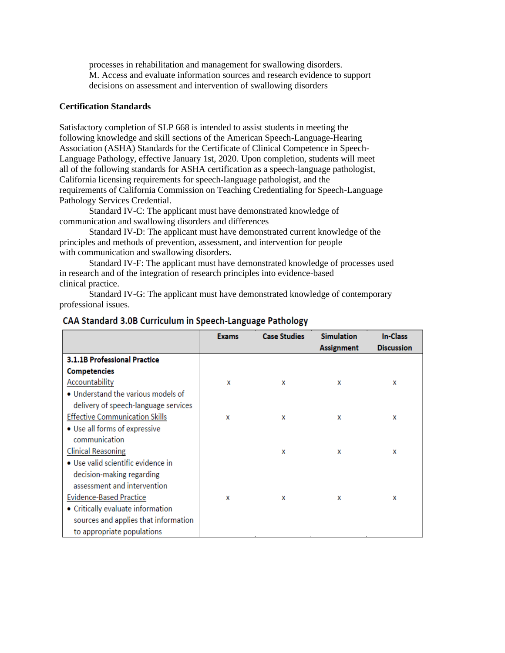processes in rehabilitation and management for swallowing disorders. M. Access and evaluate information sources and research evidence to support decisions on assessment and intervention of swallowing disorders

#### **Certification Standards**

Satisfactory completion of SLP 668 is intended to assist students in meeting the following knowledge and skill sections of the American Speech-Language-Hearing Association (ASHA) Standards for the Certificate of Clinical Competence in Speech-Language Pathology, effective January 1st, 2020. Upon completion, students will meet all of the following standards for ASHA certification as a speech-language pathologist, California licensing requirements for speech-language pathologist, and the requirements of California Commission on Teaching Credentialing for Speech-Language Pathology Services Credential.

Standard IV-C: The applicant must have demonstrated knowledge of communication and swallowing disorders and differences

Standard IV-D: The applicant must have demonstrated current knowledge of the principles and methods of prevention, assessment, and intervention for people with communication and swallowing disorders.

Standard IV-F: The applicant must have demonstrated knowledge of processes used in research and of the integration of research principles into evidence-based clinical practice.

Standard IV-G: The applicant must have demonstrated knowledge of contemporary professional issues.

|                                       | <b>Exams</b> | <b>Case Studies</b> | <b>Simulation</b> | In-Class          |
|---------------------------------------|--------------|---------------------|-------------------|-------------------|
|                                       |              |                     | <b>Assignment</b> | <b>Discussion</b> |
| <b>3.1.1B Professional Practice</b>   |              |                     |                   |                   |
| <b>Competencies</b>                   |              |                     |                   |                   |
| Accountability                        | x            | x                   | x                 | x                 |
| • Understand the various models of    |              |                     |                   |                   |
| delivery of speech-language services  |              |                     |                   |                   |
| <b>Effective Communication Skills</b> | x            | x                   | x                 | x                 |
| • Use all forms of expressive         |              |                     |                   |                   |
| communication                         |              |                     |                   |                   |
| <b>Clinical Reasoning</b>             |              | x                   | X                 | x                 |
| • Use valid scientific evidence in    |              |                     |                   |                   |
| decision-making regarding             |              |                     |                   |                   |
| assessment and intervention           |              |                     |                   |                   |
| <b>Evidence-Based Practice</b>        | x            | x                   | x                 | x                 |
| • Critically evaluate information     |              |                     |                   |                   |
| sources and applies that information  |              |                     |                   |                   |
| to appropriate populations            |              |                     |                   |                   |

#### CAA Standard 3.0B Curriculum in Speech-Language Pathology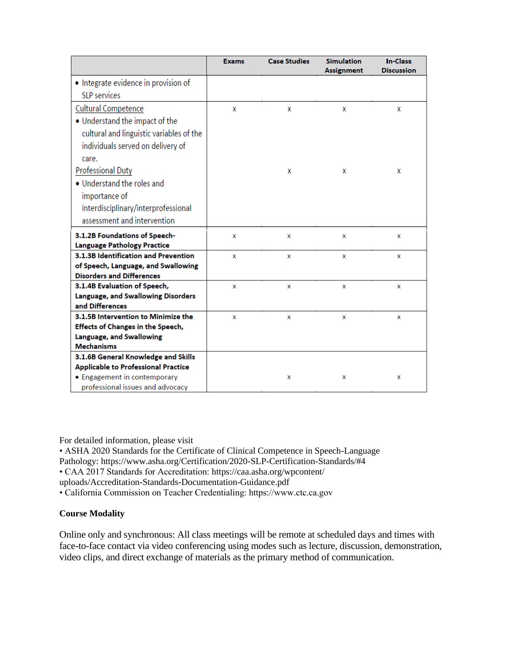|                                            | <b>Exams</b> | <b>Case Studies</b> | <b>Simulation</b> | <b>In-Class</b>   |
|--------------------------------------------|--------------|---------------------|-------------------|-------------------|
|                                            |              |                     | <b>Assignment</b> | <b>Discussion</b> |
| • Integrate evidence in provision of       |              |                     |                   |                   |
| <b>SLP</b> services                        |              |                     |                   |                   |
| <b>Cultural Competence</b>                 | X            | X                   | x                 | x                 |
| • Understand the impact of the             |              |                     |                   |                   |
| cultural and linguistic variables of the   |              |                     |                   |                   |
| individuals served on delivery of          |              |                     |                   |                   |
| care.                                      |              |                     |                   |                   |
| <b>Professional Duty</b>                   |              | x                   | x                 | x                 |
| . Understand the roles and                 |              |                     |                   |                   |
| importance of                              |              |                     |                   |                   |
| interdisciplinary/interprofessional        |              |                     |                   |                   |
| assessment and intervention                |              |                     |                   |                   |
| 3.1.2B Foundations of Speech-              | x            | x                   | x                 | x                 |
| <b>Language Pathology Practice</b>         |              |                     |                   |                   |
| 3.1.3B Identification and Prevention       | x            | x                   | x                 | x                 |
| of Speech, Language, and Swallowing        |              |                     |                   |                   |
| <b>Disorders and Differences</b>           |              |                     |                   |                   |
| 3.1.4B Evaluation of Speech,               | x            | x                   | x                 | x                 |
| Language, and Swallowing Disorders         |              |                     |                   |                   |
| and Differences                            |              |                     |                   |                   |
| 3.1.5B Intervention to Minimize the        | x            | x                   | x                 | x                 |
| <b>Effects of Changes in the Speech,</b>   |              |                     |                   |                   |
| Language, and Swallowing                   |              |                     |                   |                   |
| <b>Mechanisms</b>                          |              |                     |                   |                   |
| 3.1.6B General Knowledge and Skills        |              |                     |                   |                   |
| <b>Applicable to Professional Practice</b> |              |                     |                   |                   |
| • Engagement in contemporary               |              | x                   | x                 | x                 |
| professional issues and advocacy           |              |                     |                   |                   |

For detailed information, please visit

• ASHA 2020 Standards for the Certificate of Clinical Competence in Speech-Language Pathology: https://www.asha.org/Certification/2020-SLP-Certification-Standards/#4 • CAA 2017 Standards for Accreditation: https://caa.asha.org/wpcontent/ uploads/Accreditation-Standards-Documentation-Guidance.pdf

• California Commission on Teacher Credentialing: https://www.ctc.ca.gov

# **Course Modality**

Online only and synchronous: All class meetings will be remote at scheduled days and times with face-to-face contact via video conferencing using modes such as lecture, discussion, demonstration, video clips, and direct exchange of materials as the primary method of communication.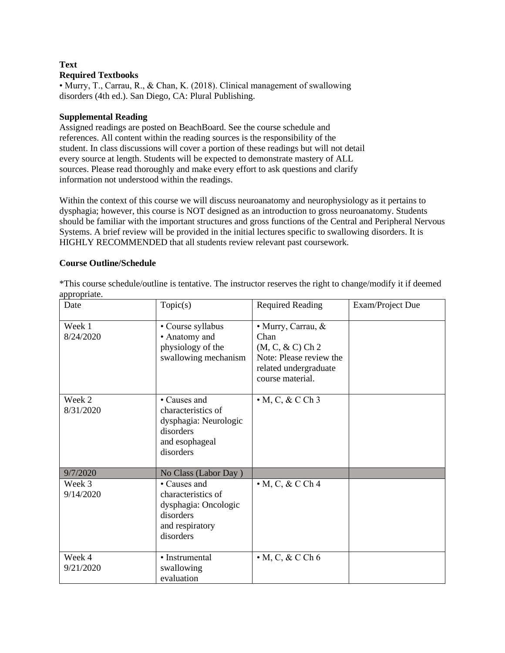## **Text Required Textbooks**

• Murry, T., Carrau, R., & Chan, K. (2018). Clinical management of swallowing disorders (4th ed.). San Diego, CA: Plural Publishing.

### **Supplemental Reading**

Assigned readings are posted on BeachBoard. See the course schedule and references. All content within the reading sources is the responsibility of the student. In class discussions will cover a portion of these readings but will not detail every source at length. Students will be expected to demonstrate mastery of ALL sources. Please read thoroughly and make every effort to ask questions and clarify information not understood within the readings.

Within the context of this course we will discuss neuroanatomy and neurophysiology as it pertains to dysphagia; however, this course is NOT designed as an introduction to gross neuroanatomy. Students should be familiar with the important structures and gross functions of the Central and Peripheral Nervous Systems. A brief review will be provided in the initial lectures specific to swallowing disorders. It is HIGHLY RECOMMENDED that all students review relevant past coursework.

## **Course Outline/Schedule**

| Date                | Topic(s)                                                                                                        | <b>Required Reading</b>                                                                                                   | Exam/Project Due |
|---------------------|-----------------------------------------------------------------------------------------------------------------|---------------------------------------------------------------------------------------------------------------------------|------------------|
| Week 1<br>8/24/2020 | • Course syllabus<br>• Anatomy and<br>physiology of the<br>swallowing mechanism                                 | · Murry, Carrau, &<br>Chan<br>$(M, C, \& C)$ Ch 2<br>Note: Please review the<br>related undergraduate<br>course material. |                  |
| Week 2<br>8/31/2020 | • Causes and<br>characteristics of<br>dysphagia: Neurologic<br>disorders<br>and esophageal<br>disorders         | $\bullet$ M, C, & C Ch 3                                                                                                  |                  |
| 9/7/2020            | No Class (Labor Day)                                                                                            |                                                                                                                           |                  |
| Week 3<br>9/14/2020 | $\bullet$ Causes and<br>characteristics of<br>dysphagia: Oncologic<br>disorders<br>and respiratory<br>disorders | $\bullet$ M, C, & C Ch 4                                                                                                  |                  |
| Week 4<br>9/21/2020 | • Instrumental<br>swallowing<br>evaluation                                                                      | $\bullet$ M, C, & C Ch 6                                                                                                  |                  |

\*This course schedule/outline is tentative. The instructor reserves the right to change/modify it if deemed appropriate.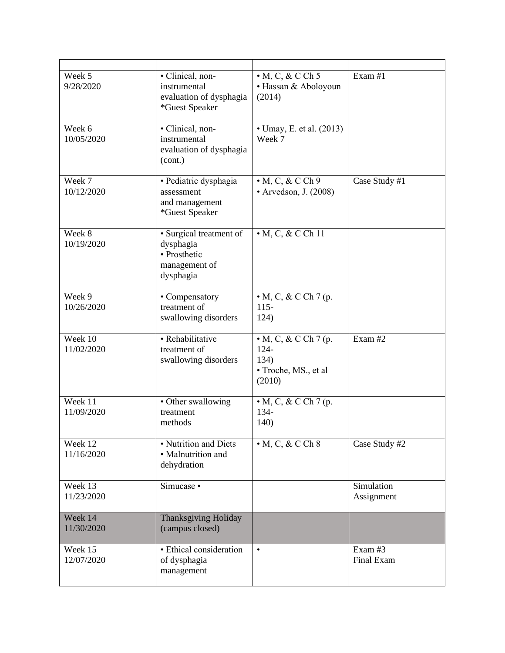| Week 5<br>9/28/2020   | • Clinical, non-<br>instrumental<br>evaluation of dysphagia<br>*Guest Speaker      | $\bullet$ M, C, & C Ch 5<br>· Hassan & Aboloyoun<br>(2014)                        | Exam #1                  |
|-----------------------|------------------------------------------------------------------------------------|-----------------------------------------------------------------------------------|--------------------------|
| Week 6<br>10/05/2020  | · Clinical, non-<br>instrumental<br>evaluation of dysphagia<br>(cont.)             | • Umay, E. et al. (2013)<br>Week 7                                                |                          |
| Week 7<br>10/12/2020  | · Pediatric dysphagia<br>assessment<br>and management<br>*Guest Speaker            | $\cdot$ M, C, & C Ch 9<br>• Arvedson, J. (2008)                                   | Case Study #1            |
| Week 8<br>10/19/2020  | · Surgical treatment of<br>dysphagia<br>• Prosthetic<br>management of<br>dysphagia | $\bullet$ M, C, & C Ch 11                                                         |                          |
| Week 9<br>10/26/2020  | • Compensatory<br>treatment of<br>swallowing disorders                             | $\bullet$ M, C, & C Ch 7 (p.<br>$115 -$<br>124)                                   |                          |
| Week 10<br>11/02/2020 | • Rehabilitative<br>treatment of<br>swallowing disorders                           | $\bullet$ M, C, & C Ch 7 (p.<br>$124 -$<br>134)<br>• Troche, MS., et al<br>(2010) | Exam #2                  |
| Week 11<br>11/09/2020 | • Other swallowing<br>treatment<br>methods                                         | $\bullet$ M, C, & C Ch 7 (p.<br>134-<br>140)                                      |                          |
| Week 12<br>11/16/2020 | • Nutrition and Diets<br>· Malnutrition and<br>dehydration                         | $\bullet$ M, C, & C Ch 8                                                          | Case Study #2            |
| Week 13<br>11/23/2020 | Simucase •                                                                         |                                                                                   | Simulation<br>Assignment |
| Week 14<br>11/30/2020 | <b>Thanksgiving Holiday</b><br>(campus closed)                                     |                                                                                   |                          |
| Week 15<br>12/07/2020 | • Ethical consideration<br>of dysphagia<br>management                              | $\bullet$                                                                         | Exam #3<br>Final Exam    |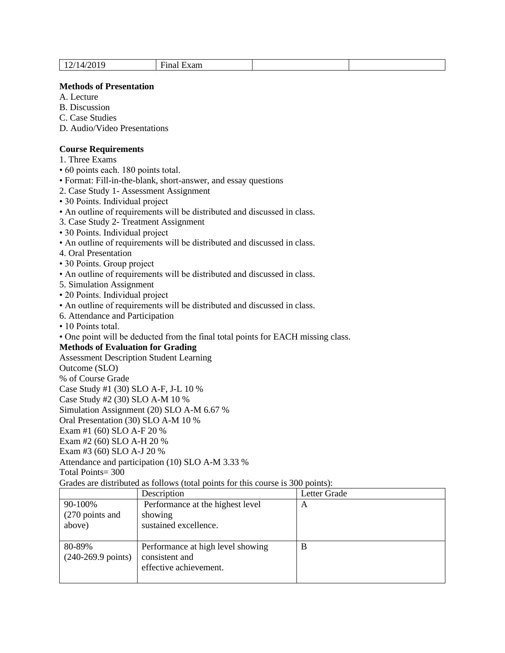| IД,<br>ັບ ⊥<br>-- | --<br>∹xam<br>Hina |  |  |
|-------------------|--------------------|--|--|
|-------------------|--------------------|--|--|

#### **Methods of Presentation**

A. Lecture

B. Discussion

C. Case Studies

D. Audio/Video Presentations

### **Course Requirements**

1. Three Exams

• 60 points each. 180 points total.

• Format: Fill-in-the-blank, short-answer, and essay questions

2. Case Study 1- Assessment Assignment

• 30 Points. Individual project

• An outline of requirements will be distributed and discussed in class.

3. Case Study 2- Treatment Assignment

• 30 Points. Individual project

• An outline of requirements will be distributed and discussed in class.

4. Oral Presentation

• 30 Points. Group project

• An outline of requirements will be distributed and discussed in class.

5. Simulation Assignment

• 20 Points. Individual project

• An outline of requirements will be distributed and discussed in class.

6. Attendance and Participation

• 10 Points total.

• One point will be deducted from the final total points for EACH missing class.

### **Methods of Evaluation for Grading**

Assessment Description Student Learning

Outcome (SLO)

% of Course Grade

Case Study #1 (30) SLO A-F, J-L 10 %

Case Study #2 (30) SLO A-M 10 %

Simulation Assignment (20) SLO A-M 6.67 %

Oral Presentation (30) SLO A-M 10 %

Exam #1 (60) SLO A-F 20 %

Exam #2 (60) SLO A-H 20 %

Exam #3 (60) SLO A-J 20 %

Attendance and participation (10) SLO A-M 3.33 %

Total Points= 300

Grades are distributed as follows (total points for this course is 300 points):

|                                        | Description                                                                   | Letter Grade |
|----------------------------------------|-------------------------------------------------------------------------------|--------------|
| 90-100%<br>(270 points and<br>above)   | Performance at the highest level<br>showing<br>sustained excellence.          | A            |
| 80-89%<br>$(240-269.9 \text{ points})$ | Performance at high level showing<br>consistent and<br>effective achievement. | В            |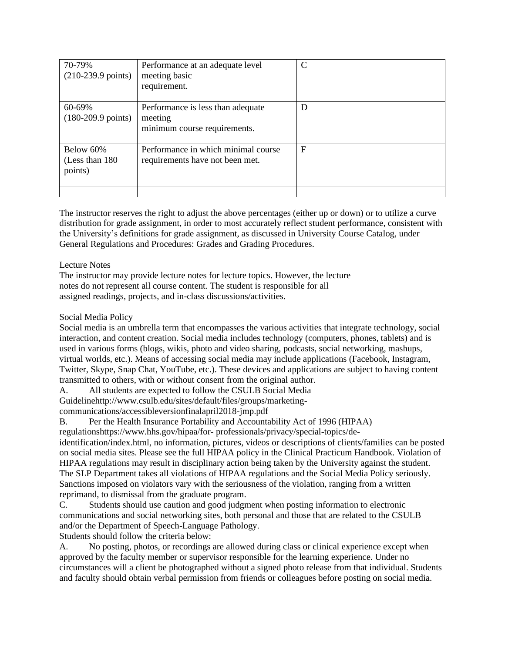| 70-79%<br>$(210-239.9 \text{ points})$  | Performance at an adequate level<br>meeting basic<br>requirement.            | $\mathcal{C}$ |
|-----------------------------------------|------------------------------------------------------------------------------|---------------|
| 60-69%<br>$(180-209.9 \text{ points})$  | Performance is less than adequate<br>meeting<br>minimum course requirements. | D             |
| Below 60%<br>(Less than 180)<br>points) | Performance in which minimal course<br>requirements have not been met.       | F             |

The instructor reserves the right to adjust the above percentages (either up or down) or to utilize a curve distribution for grade assignment, in order to most accurately reflect student performance, consistent with the University's definitions for grade assignment, as discussed in University Course Catalog, under General Regulations and Procedures: Grades and Grading Procedures.

#### Lecture Notes

The instructor may provide lecture notes for lecture topics. However, the lecture notes do not represent all course content. The student is responsible for all assigned readings, projects, and in-class discussions/activities.

## Social Media Policy

Social media is an umbrella term that encompasses the various activities that integrate technology, social interaction, and content creation. Social media includes technology (computers, phones, tablets) and is used in various forms (blogs, wikis, photo and video sharing, podcasts, social networking, mashups, virtual worlds, etc.). Means of accessing social media may include applications (Facebook, Instagram, Twitter, Skype, Snap Chat, YouTube, etc.). These devices and applications are subject to having content transmitted to others, with or without consent from the original author.

A. All students are expected to follow the CSULB Social Media Guidelinehttp://www.csulb.edu/sites/default/files/groups/marketing-

communications/accessibleversionfinalapril2018-jmp.pdf

B. Per the Health Insurance Portability and Accountability Act of 1996 (HIPAA)

regulationshttps://www.hhs.gov/hipaa/for- professionals/privacy/special-topics/de-

identification/index.html, no information, pictures, videos or descriptions of clients/families can be posted on social media sites. Please see the full HIPAA policy in the Clinical Practicum Handbook. Violation of HIPAA regulations may result in disciplinary action being taken by the University against the student. The SLP Department takes all violations of HIPAA regulations and the Social Media Policy seriously. Sanctions imposed on violators vary with the seriousness of the violation, ranging from a written reprimand, to dismissal from the graduate program.

C. Students should use caution and good judgment when posting information to electronic communications and social networking sites, both personal and those that are related to the CSULB and/or the Department of Speech-Language Pathology.

Students should follow the criteria below:

A. No posting, photos, or recordings are allowed during class or clinical experience except when approved by the faculty member or supervisor responsible for the learning experience. Under no circumstances will a client be photographed without a signed photo release from that individual. Students and faculty should obtain verbal permission from friends or colleagues before posting on social media.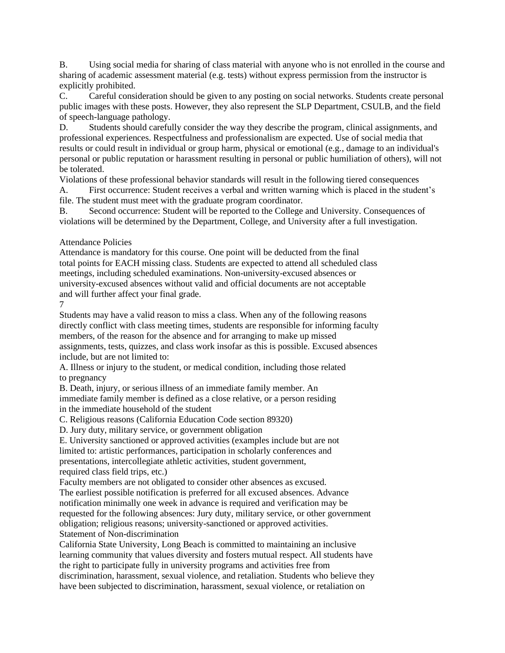B. Using social media for sharing of class material with anyone who is not enrolled in the course and sharing of academic assessment material (e.g. tests) without express permission from the instructor is explicitly prohibited.

C. Careful consideration should be given to any posting on social networks. Students create personal public images with these posts. However, they also represent the SLP Department, CSULB, and the field of speech-language pathology.

D. Students should carefully consider the way they describe the program, clinical assignments, and professional experiences. Respectfulness and professionalism are expected. Use of social media that results or could result in individual or group harm, physical or emotional (e.g., damage to an individual's personal or public reputation or harassment resulting in personal or public humiliation of others), will not be tolerated.

Violations of these professional behavior standards will result in the following tiered consequences A. First occurrence: Student receives a verbal and written warning which is placed in the student's

file. The student must meet with the graduate program coordinator. B. Second occurrence: Student will be reported to the College and University. Consequences of

violations will be determined by the Department, College, and University after a full investigation.

## Attendance Policies

Attendance is mandatory for this course. One point will be deducted from the final total points for EACH missing class. Students are expected to attend all scheduled class meetings, including scheduled examinations. Non-university-excused absences or university-excused absences without valid and official documents are not acceptable and will further affect your final grade.

#### 7

Students may have a valid reason to miss a class. When any of the following reasons directly conflict with class meeting times, students are responsible for informing faculty members, of the reason for the absence and for arranging to make up missed assignments, tests, quizzes, and class work insofar as this is possible. Excused absences include, but are not limited to:

A. Illness or injury to the student, or medical condition, including those related to pregnancy

B. Death, injury, or serious illness of an immediate family member. An immediate family member is defined as a close relative, or a person residing in the immediate household of the student

C. Religious reasons (California Education Code section 89320)

D. Jury duty, military service, or government obligation

E. University sanctioned or approved activities (examples include but are not limited to: artistic performances, participation in scholarly conferences and presentations, intercollegiate athletic activities, student government, required class field trips, etc.)

Faculty members are not obligated to consider other absences as excused. The earliest possible notification is preferred for all excused absences. Advance notification minimally one week in advance is required and verification may be requested for the following absences: Jury duty, military service, or other government obligation; religious reasons; university-sanctioned or approved activities. Statement of Non-discrimination

California State University, Long Beach is committed to maintaining an inclusive learning community that values diversity and fosters mutual respect. All students have the right to participate fully in university programs and activities free from discrimination, harassment, sexual violence, and retaliation. Students who believe they have been subjected to discrimination, harassment, sexual violence, or retaliation on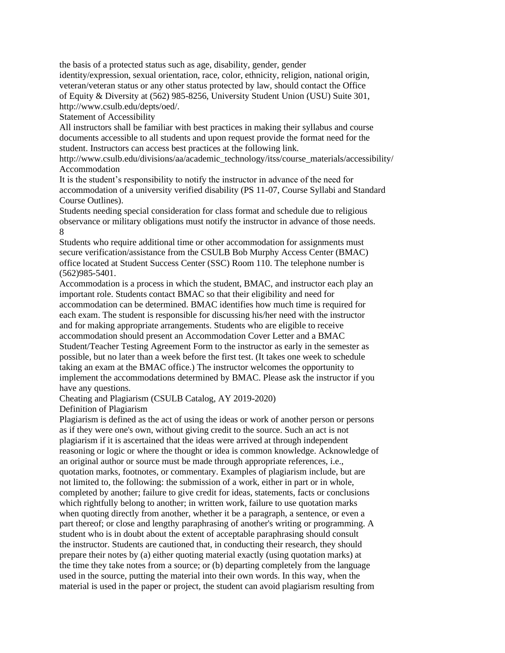the basis of a protected status such as age, disability, gender, gender identity/expression, sexual orientation, race, color, ethnicity, religion, national origin, veteran/veteran status or any other status protected by law, should contact the Office of Equity & Diversity at (562) 985-8256, University Student Union (USU) Suite 301, http://www.csulb.edu/depts/oed/.

Statement of Accessibility

All instructors shall be familiar with best practices in making their syllabus and course documents accessible to all students and upon request provide the format need for the student. Instructors can access best practices at the following link.

http://www.csulb.edu/divisions/aa/academic\_technology/itss/course\_materials/accessibility/ Accommodation

It is the student's responsibility to notify the instructor in advance of the need for accommodation of a university verified disability (PS 11-07, Course Syllabi and Standard Course Outlines).

Students needing special consideration for class format and schedule due to religious observance or military obligations must notify the instructor in advance of those needs. 8

Students who require additional time or other accommodation for assignments must secure verification/assistance from the CSULB Bob Murphy Access Center (BMAC) office located at Student Success Center (SSC) Room 110. The telephone number is (562)985-5401.

Accommodation is a process in which the student, BMAC, and instructor each play an important role. Students contact BMAC so that their eligibility and need for accommodation can be determined. BMAC identifies how much time is required for each exam. The student is responsible for discussing his/her need with the instructor and for making appropriate arrangements. Students who are eligible to receive accommodation should present an Accommodation Cover Letter and a BMAC Student/Teacher Testing Agreement Form to the instructor as early in the semester as possible, but no later than a week before the first test. (It takes one week to schedule taking an exam at the BMAC office.) The instructor welcomes the opportunity to implement the accommodations determined by BMAC. Please ask the instructor if you have any questions.

Cheating and Plagiarism (CSULB Catalog, AY 2019-2020)

Definition of Plagiarism

Plagiarism is defined as the act of using the ideas or work of another person or persons as if they were one's own, without giving credit to the source. Such an act is not plagiarism if it is ascertained that the ideas were arrived at through independent reasoning or logic or where the thought or idea is common knowledge. Acknowledge of an original author or source must be made through appropriate references, i.e., quotation marks, footnotes, or commentary. Examples of plagiarism include, but are not limited to, the following: the submission of a work, either in part or in whole, completed by another; failure to give credit for ideas, statements, facts or conclusions which rightfully belong to another; in written work, failure to use quotation marks when quoting directly from another, whether it be a paragraph, a sentence, or even a part thereof; or close and lengthy paraphrasing of another's writing or programming. A student who is in doubt about the extent of acceptable paraphrasing should consult the instructor. Students are cautioned that, in conducting their research, they should prepare their notes by (a) either quoting material exactly (using quotation marks) at the time they take notes from a source; or (b) departing completely from the language used in the source, putting the material into their own words. In this way, when the material is used in the paper or project, the student can avoid plagiarism resulting from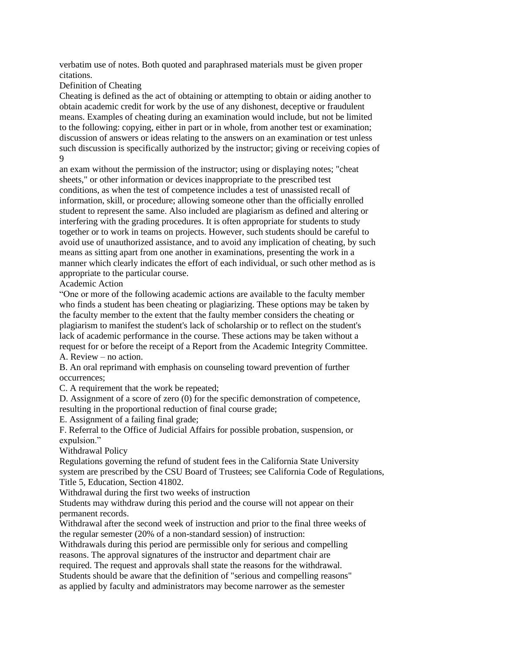verbatim use of notes. Both quoted and paraphrased materials must be given proper citations.

Definition of Cheating

Cheating is defined as the act of obtaining or attempting to obtain or aiding another to obtain academic credit for work by the use of any dishonest, deceptive or fraudulent means. Examples of cheating during an examination would include, but not be limited to the following: copying, either in part or in whole, from another test or examination; discussion of answers or ideas relating to the answers on an examination or test unless such discussion is specifically authorized by the instructor; giving or receiving copies of 9

an exam without the permission of the instructor; using or displaying notes; "cheat sheets," or other information or devices inappropriate to the prescribed test conditions, as when the test of competence includes a test of unassisted recall of information, skill, or procedure; allowing someone other than the officially enrolled student to represent the same. Also included are plagiarism as defined and altering or interfering with the grading procedures. It is often appropriate for students to study together or to work in teams on projects. However, such students should be careful to avoid use of unauthorized assistance, and to avoid any implication of cheating, by such means as sitting apart from one another in examinations, presenting the work in a manner which clearly indicates the effort of each individual, or such other method as is appropriate to the particular course.

Academic Action

"One or more of the following academic actions are available to the faculty member who finds a student has been cheating or plagiarizing. These options may be taken by the faculty member to the extent that the faulty member considers the cheating or plagiarism to manifest the student's lack of scholarship or to reflect on the student's lack of academic performance in the course. These actions may be taken without a request for or before the receipt of a Report from the Academic Integrity Committee. A. Review – no action.

B. An oral reprimand with emphasis on counseling toward prevention of further occurrences;

C. A requirement that the work be repeated;

D. Assignment of a score of zero (0) for the specific demonstration of competence, resulting in the proportional reduction of final course grade;

E. Assignment of a failing final grade;

F. Referral to the Office of Judicial Affairs for possible probation, suspension, or expulsion."

Withdrawal Policy

Regulations governing the refund of student fees in the California State University system are prescribed by the CSU Board of Trustees; see California Code of Regulations, Title 5, Education, Section 41802.

Withdrawal during the first two weeks of instruction

Students may withdraw during this period and the course will not appear on their permanent records.

Withdrawal after the second week of instruction and prior to the final three weeks of the regular semester (20% of a non-standard session) of instruction:

Withdrawals during this period are permissible only for serious and compelling reasons. The approval signatures of the instructor and department chair are

required. The request and approvals shall state the reasons for the withdrawal.

Students should be aware that the definition of "serious and compelling reasons" as applied by faculty and administrators may become narrower as the semester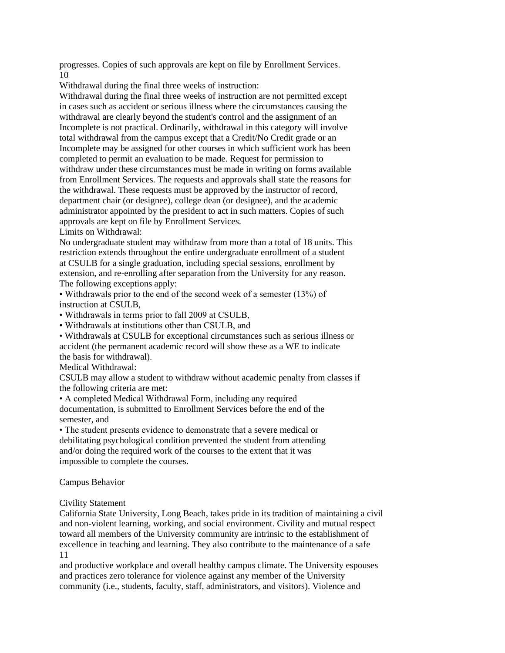progresses. Copies of such approvals are kept on file by Enrollment Services. 10

Withdrawal during the final three weeks of instruction:

Withdrawal during the final three weeks of instruction are not permitted except in cases such as accident or serious illness where the circumstances causing the withdrawal are clearly beyond the student's control and the assignment of an Incomplete is not practical. Ordinarily, withdrawal in this category will involve total withdrawal from the campus except that a Credit/No Credit grade or an Incomplete may be assigned for other courses in which sufficient work has been completed to permit an evaluation to be made. Request for permission to withdraw under these circumstances must be made in writing on forms available from Enrollment Services. The requests and approvals shall state the reasons for the withdrawal. These requests must be approved by the instructor of record, department chair (or designee), college dean (or designee), and the academic administrator appointed by the president to act in such matters. Copies of such approvals are kept on file by Enrollment Services.

Limits on Withdrawal:

No undergraduate student may withdraw from more than a total of 18 units. This restriction extends throughout the entire undergraduate enrollment of a student at CSULB for a single graduation, including special sessions, enrollment by extension, and re-enrolling after separation from the University for any reason. The following exceptions apply:

• Withdrawals prior to the end of the second week of a semester (13%) of instruction at CSULB,

• Withdrawals in terms prior to fall 2009 at CSULB,

• Withdrawals at institutions other than CSULB, and

• Withdrawals at CSULB for exceptional circumstances such as serious illness or accident (the permanent academic record will show these as a WE to indicate the basis for withdrawal).

Medical Withdrawal:

CSULB may allow a student to withdraw without academic penalty from classes if the following criteria are met:

• A completed Medical Withdrawal Form, including any required documentation, is submitted to Enrollment Services before the end of the semester, and

• The student presents evidence to demonstrate that a severe medical or debilitating psychological condition prevented the student from attending and/or doing the required work of the courses to the extent that it was impossible to complete the courses.

#### Campus Behavior

Civility Statement

California State University, Long Beach, takes pride in its tradition of maintaining a civil and non-violent learning, working, and social environment. Civility and mutual respect toward all members of the University community are intrinsic to the establishment of excellence in teaching and learning. They also contribute to the maintenance of a safe 11

and productive workplace and overall healthy campus climate. The University espouses and practices zero tolerance for violence against any member of the University community (i.e., students, faculty, staff, administrators, and visitors). Violence and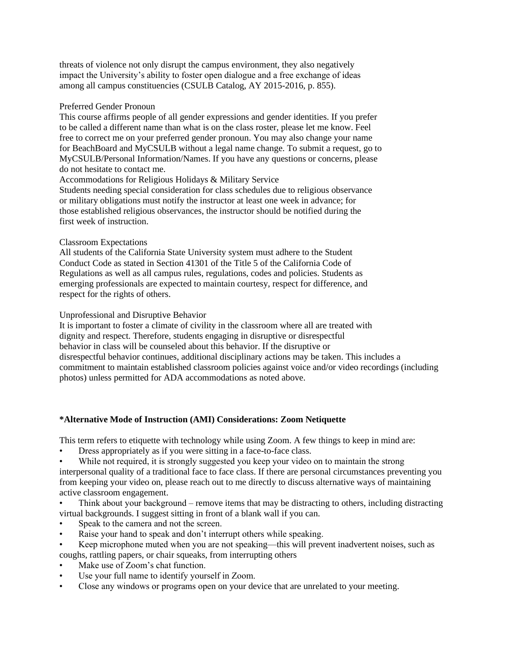threats of violence not only disrupt the campus environment, they also negatively impact the University's ability to foster open dialogue and a free exchange of ideas among all campus constituencies (CSULB Catalog, AY 2015-2016, p. 855).

#### Preferred Gender Pronoun

This course affirms people of all gender expressions and gender identities. If you prefer to be called a different name than what is on the class roster, please let me know. Feel free to correct me on your preferred gender pronoun. You may also change your name for BeachBoard and MyCSULB without a legal name change. To submit a request, go to MyCSULB/Personal Information/Names. If you have any questions or concerns, please do not hesitate to contact me.

Accommodations for Religious Holidays & Military Service

Students needing special consideration for class schedules due to religious observance or military obligations must notify the instructor at least one week in advance; for those established religious observances, the instructor should be notified during the first week of instruction.

#### Classroom Expectations

All students of the California State University system must adhere to the Student Conduct Code as stated in Section 41301 of the Title 5 of the California Code of Regulations as well as all campus rules, regulations, codes and policies. Students as emerging professionals are expected to maintain courtesy, respect for difference, and respect for the rights of others.

#### Unprofessional and Disruptive Behavior

It is important to foster a climate of civility in the classroom where all are treated with dignity and respect. Therefore, students engaging in disruptive or disrespectful behavior in class will be counseled about this behavior. If the disruptive or disrespectful behavior continues, additional disciplinary actions may be taken. This includes a commitment to maintain established classroom policies against voice and/or video recordings (including photos) unless permitted for ADA accommodations as noted above.

#### **\*Alternative Mode of Instruction (AMI) Considerations: Zoom Netiquette**

This term refers to etiquette with technology while using Zoom. A few things to keep in mind are:

Dress appropriately as if you were sitting in a face-to-face class.

While not required, it is strongly suggested you keep your video on to maintain the strong interpersonal quality of a traditional face to face class. If there are personal circumstances preventing you from keeping your video on, please reach out to me directly to discuss alternative ways of maintaining active classroom engagement.

- Think about your background remove items that may be distracting to others, including distracting virtual backgrounds. I suggest sitting in front of a blank wall if you can.
- Speak to the camera and not the screen.
- Raise your hand to speak and don't interrupt others while speaking.
- Keep microphone muted when you are not speaking—this will prevent inadvertent noises, such as coughs, rattling papers, or chair squeaks, from interrupting others
- Make use of Zoom's chat function.
- Use your full name to identify yourself in Zoom.
- Close any windows or programs open on your device that are unrelated to your meeting.